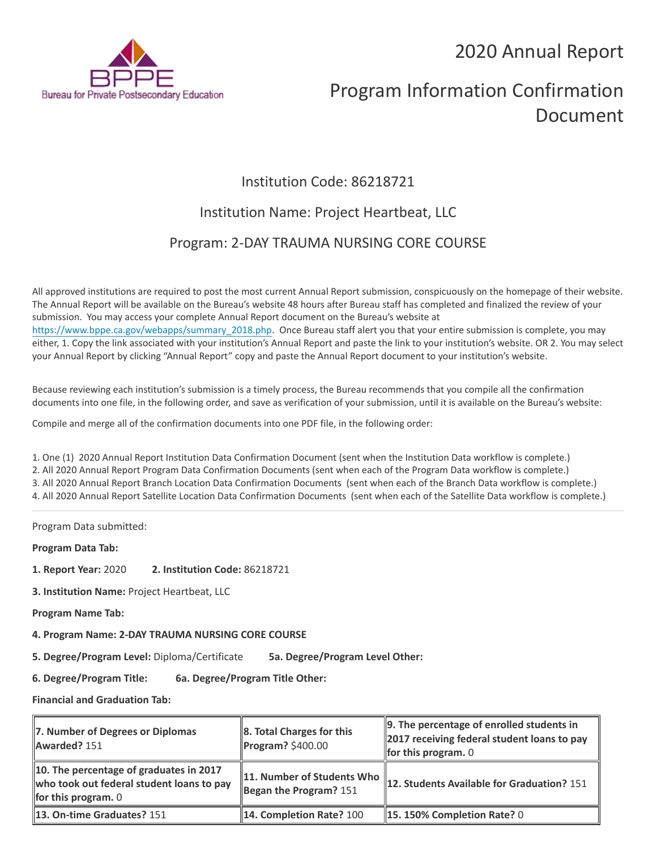2020 Annual Report



# Program Information Confirmation Document

## Institution Code: 86218721

### Institution Name: Project Heartbeat, LLC

### Program: 2-DAY TRAUMA NURSING CORE COURSE

All approved institutions are required to post the most current Annual Report submission, conspicuously on the homepage of their website. The Annual Report will be available on the Bureau's website 48 hours after Bureau staff has completed and finalized the review of your submission. You may access your complete Annual Report document on the Bureau's website at [https://www.bppe.ca.gov/webapps/summary\\_2018.php.](https://www.bppe.ca.gov/webapps/summary_2018.php) Once Bureau staff alert you that your entire submission is complete, you may either, 1. Copy the link associated with your institution's Annual Report and paste the link to your institution's website. OR 2. You may select your Annual Report by clicking "Annual Report" copy and paste the Annual Report document to your institution's website.

Because reviewing each institution's submission is a timely process, the Bureau recommends that you compile all the confirmation documents into one file, in the following order, and save as verification of your submission, until it is available on the Bureau's website:

Compile and merge all of the confirmation documents into one PDF file, in the following order:

1. One (1) 2020 Annual Report Institution Data Confirmation Document (sent when the Institution Data workflow is complete.) 2. All 2020 Annual Report Program Data Confirmation Documents (sent when each of the Program Data workflow is complete.) 3. All 2020 Annual Report Branch Location Data Confirmation Documents (sent when each of the Branch Data workflow is complete.) 4. All 2020 Annual Report Satellite Location Data Confirmation Documents (sent when each of the Satellite Data workflow is complete.)

Program Data submitted:

**Program Data Tab:**

- **1. Report Year:** 2020 **2. Institution Code:** 86218721
- **3. Institution Name:** Project Heartbeat, LLC
- **Program Name Tab:**
- **4. Program Name: 2-DAY TRAUMA NURSING CORE COURSE**

**5. Degree/Program Level:** Diploma/Certificate **5a. Degree/Program Level Other:**

**6. Degree/Program Title: 6a. Degree/Program Title Other:**

**Financial and Graduation Tab:**

| 7. Number of Degrees or Diplomas<br><b>Awarded?</b> 151                                                              | 8. Total Charges for this<br><b>Program?</b> \$400.00  | $\parallel$ 9. The percentage of enrolled students in<br>2017 receiving federal student loans to pay<br><b>for this program.</b> $0$ |
|----------------------------------------------------------------------------------------------------------------------|--------------------------------------------------------|--------------------------------------------------------------------------------------------------------------------------------------|
| 10. The percentage of graduates in 2017<br>who took out federal student loans to pay<br><b>for this program.</b> $0$ | 11. Number of Students Who<br>Began the Program? $151$ | 12. Students Available for Graduation? 151                                                                                           |
| 13. On-time Graduates? 151                                                                                           | 14. Completion Rate? 100                               | $\parallel$ 15. 150% Completion Rate? 0                                                                                              |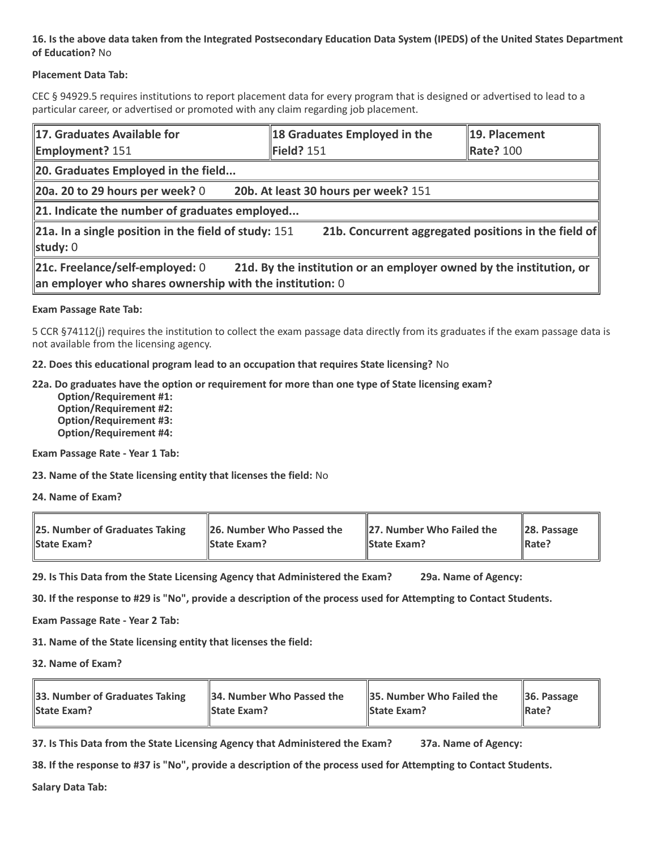#### **16. Is the above data taken from the Integrated Postsecondary Education Data System (IPEDS) of the United States Department of Education?** No

#### **Placement Data Tab:**

CEC § 94929.5 requires institutions to report placement data for every program that is designed or advertised to lead to a particular career, or advertised or promoted with any claim regarding job placement.

| 17. Graduates Available for<br><b>Employment? 151</b>                                                                                                                | 18 Graduates Employed in the<br>Field? 151 | 19. Placement<br><b>Rate? 100</b>                    |  |  |
|----------------------------------------------------------------------------------------------------------------------------------------------------------------------|--------------------------------------------|------------------------------------------------------|--|--|
| 20. Graduates Employed in the field                                                                                                                                  |                                            |                                                      |  |  |
| $\vert$ 20a. 20 to 29 hours per week? 0                                                                                                                              | 20b. At least 30 hours per week? 151       |                                                      |  |  |
| $\ $ 21. Indicate the number of graduates employed                                                                                                                   |                                            |                                                      |  |  |
| 21a. In a single position in the field of study: $151$<br>study: 0                                                                                                   |                                            | 21b. Concurrent aggregated positions in the field of |  |  |
| 21c. Freelance/self-employed: 0<br>21d. By the institution or an employer owned by the institution, or<br>an employer who shares ownership with the institution: $0$ |                                            |                                                      |  |  |

#### **Exam Passage Rate Tab:**

5 CCR §74112(j) requires the institution to collect the exam passage data directly from its graduates if the exam passage data is not available from the licensing agency.

#### **22. Does this educational program lead to an occupation that requires State licensing?** No

#### **22a. Do graduates have the option or requirement for more than one type of State licensing exam?**

 **Option/Requirement #1: Option/Requirement #2: Option/Requirement #3: Option/Requirement #4:**

**Exam Passage Rate - Year 1 Tab:**

**23. Name of the State licensing entity that licenses the field:** No

**24. Name of Exam?**

| 25. Number of Graduates Taking | 26. Number Who Passed the | 27. Number Who Failed the | $\ $ 28. Passage |
|--------------------------------|---------------------------|---------------------------|------------------|
| <b>State Exam?</b>             | <b>State Exam?</b>        | <b>State Exam?</b>        | Rate?            |

**29. Is This Data from the State Licensing Agency that Administered the Exam? 29a. Name of Agency:**

**30. If the response to #29 is "No", provide a description of the process used for Attempting to Contact Students.**

**Exam Passage Rate - Year 2 Tab:**

**31. Name of the State licensing entity that licenses the field:**

**32. Name of Exam?**

| 33. Number of Graduates Taking | 34. Number Who Passed the | <b>35. Number Who Failed the</b> | $\parallel$ 36. Passage |
|--------------------------------|---------------------------|----------------------------------|-------------------------|
| <b>State Exam?</b>             | <b>State Exam?</b>        | <b>State Exam?</b>               | $\parallel$ Rate?       |

**37. Is This Data from the State Licensing Agency that Administered the Exam? 37a. Name of Agency:**

**38. If the response to #37 is "No", provide a description of the process used for Attempting to Contact Students.** 

**Salary Data Tab:**